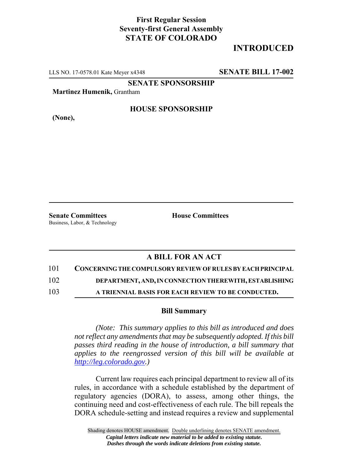## **First Regular Session Seventy-first General Assembly STATE OF COLORADO**

# **INTRODUCED**

LLS NO. 17-0578.01 Kate Meyer x4348 **SENATE BILL 17-002**

**SENATE SPONSORSHIP**

**Martinez Humenik,** Grantham

**(None),**

#### **HOUSE SPONSORSHIP**

**Senate Committees House Committees** Business, Labor, & Technology

### **A BILL FOR AN ACT**

101 **CONCERNING THE COMPULSORY REVIEW OF RULES BY EACH PRINCIPAL**

102 **DEPARTMENT, AND, IN CONNECTION THEREWITH, ESTABLISHING**

103 **A TRIENNIAL BASIS FOR EACH REVIEW TO BE CONDUCTED.**

#### **Bill Summary**

*(Note: This summary applies to this bill as introduced and does not reflect any amendments that may be subsequently adopted. If this bill passes third reading in the house of introduction, a bill summary that applies to the reengrossed version of this bill will be available at http://leg.colorado.gov.)*

Current law requires each principal department to review all of its rules, in accordance with a schedule established by the department of regulatory agencies (DORA), to assess, among other things, the continuing need and cost-effectiveness of each rule. The bill repeals the DORA schedule-setting and instead requires a review and supplemental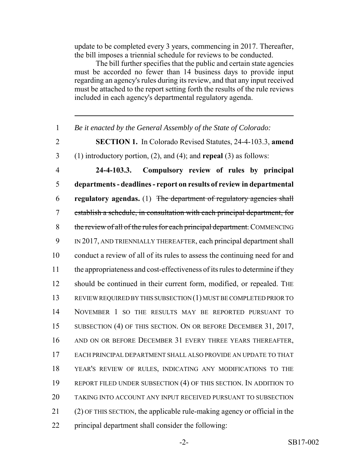update to be completed every 3 years, commencing in 2017. Thereafter, the bill imposes a triennial schedule for reviews to be conducted.

The bill further specifies that the public and certain state agencies must be accorded no fewer than 14 business days to provide input regarding an agency's rules during its review, and that any input received must be attached to the report setting forth the results of the rule reviews included in each agency's departmental regulatory agenda.

1 *Be it enacted by the General Assembly of the State of Colorado:*

- 
- 2 **SECTION 1.** In Colorado Revised Statutes, 24-4-103.3, **amend**
- 3 (1) introductory portion, (2), and (4); and **repeal** (3) as follows:

 **24-4-103.3. Compulsory review of rules by principal departments - deadlines - report on results of review in departmental regulatory agendas.** (1) The department of regulatory agencies shall establish a schedule, in consultation with each principal department, for 8 the review of all of the rules for each principal department. COMMENCING IN 2017, AND TRIENNIALLY THEREAFTER, each principal department shall conduct a review of all of its rules to assess the continuing need for and the appropriateness and cost-effectiveness of its rules to determine if they 12 should be continued in their current form, modified, or repealed. THE REVIEW REQUIRED BY THIS SUBSECTION (1) MUST BE COMPLETED PRIOR TO NOVEMBER 1 SO THE RESULTS MAY BE REPORTED PURSUANT TO 15 SUBSECTION (4) OF THIS SECTION. ON OR BEFORE DECEMBER 31, 2017, 16 AND ON OR BEFORE DECEMBER 31 EVERY THREE YEARS THEREAFTER, EACH PRINCIPAL DEPARTMENT SHALL ALSO PROVIDE AN UPDATE TO THAT YEAR'S REVIEW OF RULES, INDICATING ANY MODIFICATIONS TO THE REPORT FILED UNDER SUBSECTION (4) OF THIS SECTION. IN ADDITION TO TAKING INTO ACCOUNT ANY INPUT RECEIVED PURSUANT TO SUBSECTION (2) OF THIS SECTION, the applicable rule-making agency or official in the principal department shall consider the following: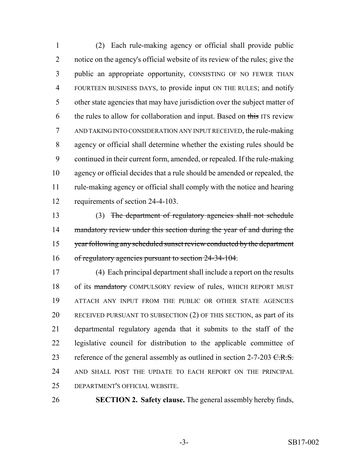(2) Each rule-making agency or official shall provide public notice on the agency's official website of its review of the rules; give the public an appropriate opportunity, CONSISTING OF NO FEWER THAN FOURTEEN BUSINESS DAYS, to provide input ON THE RULES; and notify other state agencies that may have jurisdiction over the subject matter of 6 the rules to allow for collaboration and input. Based on this ITS review AND TAKING INTO CONSIDERATION ANY INPUT RECEIVED, the rule-making agency or official shall determine whether the existing rules should be continued in their current form, amended, or repealed. If the rule-making agency or official decides that a rule should be amended or repealed, the rule-making agency or official shall comply with the notice and hearing requirements of section 24-4-103.

 (3) The department of regulatory agencies shall not schedule 14 mandatory review under this section during the year of and during the 15 year following any scheduled sunset review conducted by the department of regulatory agencies pursuant to section 24-34-104.

 (4) Each principal department shall include a report on the results 18 of its mandatory COMPULSORY review of rules, WHICH REPORT MUST ATTACH ANY INPUT FROM THE PUBLIC OR OTHER STATE AGENCIES RECEIVED PURSUANT TO SUBSECTION (2) OF THIS SECTION, as part of its departmental regulatory agenda that it submits to the staff of the legislative council for distribution to the applicable committee of 23 reference of the general assembly as outlined in section  $2-7-203$  C.R.S. AND SHALL POST THE UPDATE TO EACH REPORT ON THE PRINCIPAL DEPARTMENT'S OFFICIAL WEBSITE.

**SECTION 2. Safety clause.** The general assembly hereby finds,